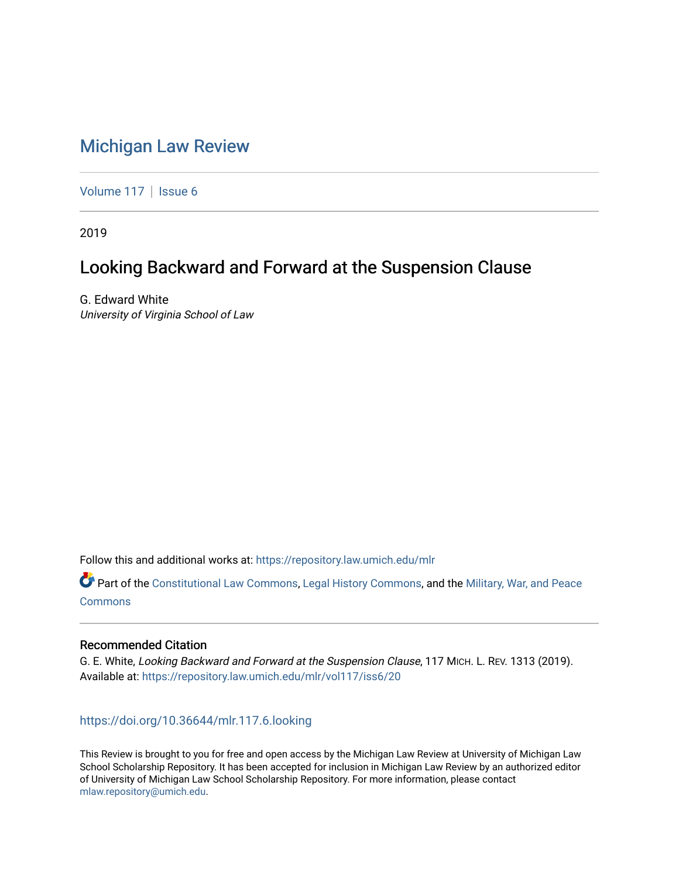# [Michigan Law Review](https://repository.law.umich.edu/mlr)

[Volume 117](https://repository.law.umich.edu/mlr/vol117) | [Issue 6](https://repository.law.umich.edu/mlr/vol117/iss6)

2019

# Looking Backward and Forward at the Suspension Clause

G. Edward White University of Virginia School of Law

Follow this and additional works at: [https://repository.law.umich.edu/mlr](https://repository.law.umich.edu/mlr?utm_source=repository.law.umich.edu%2Fmlr%2Fvol117%2Fiss6%2F20&utm_medium=PDF&utm_campaign=PDFCoverPages) 

Part of the [Constitutional Law Commons,](http://network.bepress.com/hgg/discipline/589?utm_source=repository.law.umich.edu%2Fmlr%2Fvol117%2Fiss6%2F20&utm_medium=PDF&utm_campaign=PDFCoverPages) [Legal History Commons](http://network.bepress.com/hgg/discipline/904?utm_source=repository.law.umich.edu%2Fmlr%2Fvol117%2Fiss6%2F20&utm_medium=PDF&utm_campaign=PDFCoverPages), and the [Military, War, and Peace](http://network.bepress.com/hgg/discipline/861?utm_source=repository.law.umich.edu%2Fmlr%2Fvol117%2Fiss6%2F20&utm_medium=PDF&utm_campaign=PDFCoverPages) **[Commons](http://network.bepress.com/hgg/discipline/861?utm_source=repository.law.umich.edu%2Fmlr%2Fvol117%2Fiss6%2F20&utm_medium=PDF&utm_campaign=PDFCoverPages)** 

## Recommended Citation

G. E. White, Looking Backward and Forward at the Suspension Clause, 117 MICH. L. REV. 1313 (2019). Available at: [https://repository.law.umich.edu/mlr/vol117/iss6/20](https://repository.law.umich.edu/mlr/vol117/iss6/20?utm_source=repository.law.umich.edu%2Fmlr%2Fvol117%2Fiss6%2F20&utm_medium=PDF&utm_campaign=PDFCoverPages) 

<https://doi.org/10.36644/mlr.117.6.looking>

This Review is brought to you for free and open access by the Michigan Law Review at University of Michigan Law School Scholarship Repository. It has been accepted for inclusion in Michigan Law Review by an authorized editor of University of Michigan Law School Scholarship Repository. For more information, please contact [mlaw.repository@umich.edu.](mailto:mlaw.repository@umich.edu)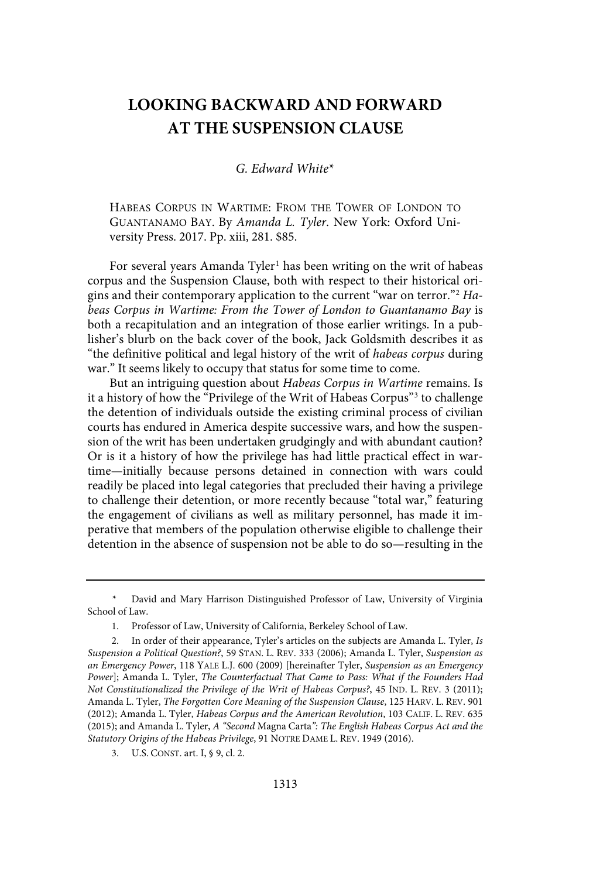## **LOOKING BACKWARD AND FORWARD AT THE SUSPENSION CLAUSE**

### G. Edward White $*$

HABEAS CORPUS IN WARTIME: FROM THE TOWER OF LONDON TO GUANTANAMO BAY. By Amanda L. Tyler. New York: Oxford University Press. 2017. Pp. xiii, 281. \$85.

For several years Amanda Tyler<sup>1</sup> has been writing on the writ of habeas corpus and the Suspension Clause, both with respect to their historical origins and their contemporary application to the current "war on terror."<sup>2</sup> Habeas Corpus in Wartime: From the Tower of London to Guantanamo Bay is both a recapitulation and an integration of those earlier writings. In a publisher's blurb on the back cover of the book, Jack Goldsmith describes it as "the definitive political and legal history of the writ of habeas corpus during war." It seems likely to occupy that status for some time to come.

But an intriguing question about Habeas Corpus in Wartime remains. Is it a history of how the "Privilege of the Writ of Habeas Corpus"<sup>3</sup> to challenge the detention of individuals outside the existing criminal process of civilian courts has endured in America despite successive wars, and how the suspension of the writ has been undertaken grudgingly and with abundant caution? Or is it a history of how the privilege has had little practical effect in wartime—initially because persons detained in connection with wars could readily be placed into legal categories that precluded their having a privilege to challenge their detention, or more recently because "total war," featuring the engagement of civilians as well as military personnel, has made it imperative that members of the population otherwise eligible to challenge their detention in the absence of suspension not be able to do so—resulting in the

<sup>\*</sup> David and Mary Harrison Distinguished Professor of Law, University of Virginia School of Law.

<sup>1.</sup> Professor of Law, University of California, Berkeley School of Law.

<sup>2.</sup> In order of their appearance, Tyler's articles on the subjects are Amanda L. Tyler, Is Suspension a Political Question?, 59 STAN. L. REV. 333 (2006); Amanda L. Tyler, Suspension as an Emergency Power, 118 YALE L.J. 600 (2009) [hereinafter Tyler, Suspension as an Emergency Power]; Amanda L. Tyler, The Counterfactual That Came to Pass: What if the Founders Had Not Constitutionalized the Privilege of the Writ of Habeas Corpus?, 45 IND. L. REV. 3 (2011); Amanda L. Tyler, The Forgotten Core Meaning of the Suspension Clause, 125 HARV. L. REV. 901 (2012); Amanda L. Tyler, Habeas Corpus and the American Revolution, 103 CALIF. L. REV. 635 (2015); and Amanda L. Tyler, A "Second Magna Carta": The English Habeas Corpus Act and the Statutory Origins of the Habeas Privilege, 91 NOTRE DAME L. REV. 1949 (2016).

<sup>3.</sup> U.S. CONST. art. I, § 9, cl. 2.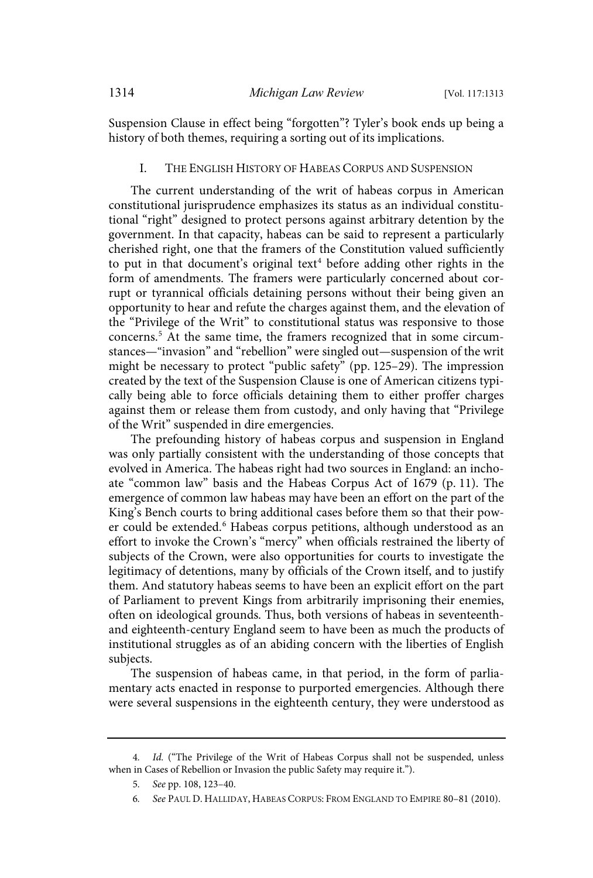Suspension Clause in effect being "forgotten"? Tyler's book ends up being a history of both themes, requiring a sorting out of its implications.

### I. THE ENGLISH HISTORY OF HABEAS CORPUS AND SUSPENSION

The current understanding of the writ of habeas corpus in American constitutional jurisprudence emphasizes its status as an individual constitutional "right" designed to protect persons against arbitrary detention by the government. In that capacity, habeas can be said to represent a particularly cherished right, one that the framers of the Constitution valued sufficiently to put in that document's original text<sup>4</sup> before adding other rights in the form of amendments. The framers were particularly concerned about corrupt or tyrannical officials detaining persons without their being given an opportunity to hear and refute the charges against them, and the elevation of the "Privilege of the Writ" to constitutional status was responsive to those concerns.<sup>5</sup> At the same time, the framers recognized that in some circumstances—"invasion" and "rebellion" were singled out—suspension of the writ might be necessary to protect "public safety" (pp. 125–29). The impression created by the text of the Suspension Clause is one of American citizens typically being able to force officials detaining them to either proffer charges against them or release them from custody, and only having that "Privilege of the Writ" suspended in dire emergencies.

The prefounding history of habeas corpus and suspension in England was only partially consistent with the understanding of those concepts that evolved in America. The habeas right had two sources in England: an inchoate "common law" basis and the Habeas Corpus Act of 1679 (p. 11). The emergence of common law habeas may have been an effort on the part of the King's Bench courts to bring additional cases before them so that their power could be extended.<sup>6</sup> Habeas corpus petitions, although understood as an effort to invoke the Crown's "mercy" when officials restrained the liberty of subjects of the Crown, were also opportunities for courts to investigate the legitimacy of detentions, many by officials of the Crown itself, and to justify them. And statutory habeas seems to have been an explicit effort on the part of Parliament to prevent Kings from arbitrarily imprisoning their enemies, often on ideological grounds. Thus, both versions of habeas in seventeenthand eighteenth-century England seem to have been as much the products of institutional struggles as of an abiding concern with the liberties of English subjects.

The suspension of habeas came, in that period, in the form of parliamentary acts enacted in response to purported emergencies. Although there were several suspensions in the eighteenth century, they were understood as

<sup>4.</sup> Id. ("The Privilege of the Writ of Habeas Corpus shall not be suspended, unless when in Cases of Rebellion or Invasion the public Safety may require it.").

<sup>5</sup> . See pp. 108, 123–40.

<sup>6</sup> . See PAUL D. HALLIDAY, HABEAS CORPUS: FROM ENGLAND TO EMPIRE 80–81 (2010).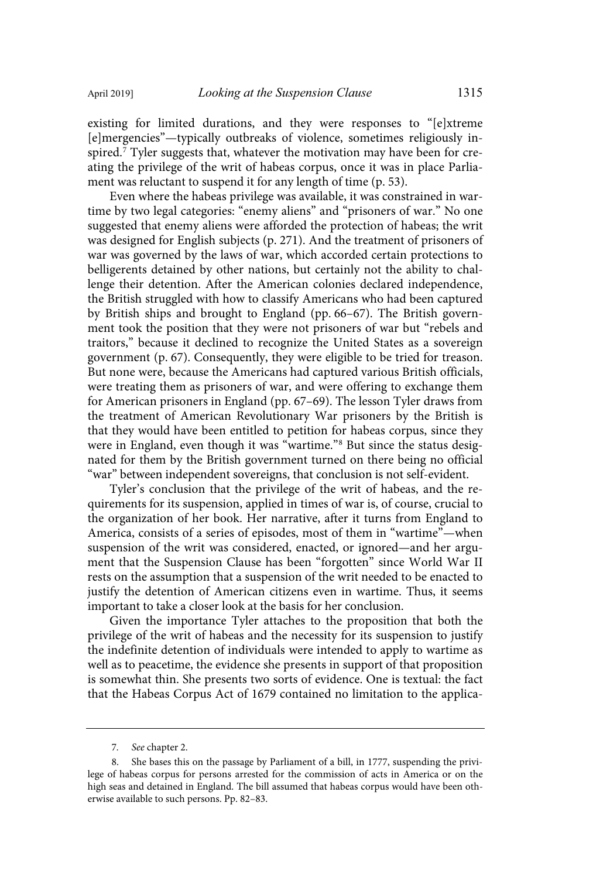existing for limited durations, and they were responses to "[e]xtreme [e]mergencies"—typically outbreaks of violence, sometimes religiously inspired.<sup>7</sup> Tyler suggests that, whatever the motivation may have been for creating the privilege of the writ of habeas corpus, once it was in place Parliament was reluctant to suspend it for any length of time (p. 53).

Even where the habeas privilege was available, it was constrained in wartime by two legal categories: "enemy aliens" and "prisoners of war." No one suggested that enemy aliens were afforded the protection of habeas; the writ was designed for English subjects (p. 271). And the treatment of prisoners of war was governed by the laws of war, which accorded certain protections to belligerents detained by other nations, but certainly not the ability to challenge their detention. After the American colonies declared independence, the British struggled with how to classify Americans who had been captured by British ships and brought to England (pp. 66–67). The British government took the position that they were not prisoners of war but "rebels and traitors," because it declined to recognize the United States as a sovereign government (p. 67). Consequently, they were eligible to be tried for treason. But none were, because the Americans had captured various British officials, were treating them as prisoners of war, and were offering to exchange them for American prisoners in England (pp. 67–69). The lesson Tyler draws from the treatment of American Revolutionary War prisoners by the British is that they would have been entitled to petition for habeas corpus, since they were in England, even though it was "wartime."<sup>8</sup> But since the status designated for them by the British government turned on there being no official "war" between independent sovereigns, that conclusion is not self-evident.

Tyler's conclusion that the privilege of the writ of habeas, and the requirements for its suspension, applied in times of war is, of course, crucial to the organization of her book. Her narrative, after it turns from England to America, consists of a series of episodes, most of them in "wartime"—when suspension of the writ was considered, enacted, or ignored—and her argument that the Suspension Clause has been "forgotten" since World War II rests on the assumption that a suspension of the writ needed to be enacted to justify the detention of American citizens even in wartime. Thus, it seems important to take a closer look at the basis for her conclusion.

Given the importance Tyler attaches to the proposition that both the privilege of the writ of habeas and the necessity for its suspension to justify the indefinite detention of individuals were intended to apply to wartime as well as to peacetime, the evidence she presents in support of that proposition is somewhat thin. She presents two sorts of evidence. One is textual: the fact that the Habeas Corpus Act of 1679 contained no limitation to the applica-

<sup>7.</sup> See chapter 2.

<sup>8.</sup> She bases this on the passage by Parliament of a bill, in 1777, suspending the privilege of habeas corpus for persons arrested for the commission of acts in America or on the high seas and detained in England. The bill assumed that habeas corpus would have been otherwise available to such persons. Pp. 82–83.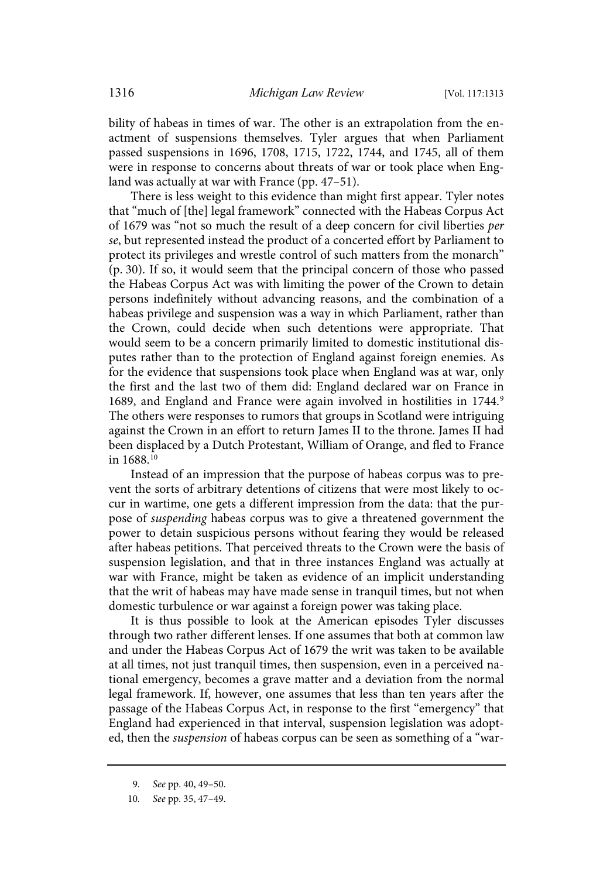bility of habeas in times of war. The other is an extrapolation from the enactment of suspensions themselves. Tyler argues that when Parliament passed suspensions in 1696, 1708, 1715, 1722, 1744, and 1745, all of them were in response to concerns about threats of war or took place when England was actually at war with France (pp. 47–51).

There is less weight to this evidence than might first appear. Tyler notes that "much of [the] legal framework" connected with the Habeas Corpus Act of 1679 was "not so much the result of a deep concern for civil liberties per se, but represented instead the product of a concerted effort by Parliament to protect its privileges and wrestle control of such matters from the monarch" (p. 30). If so, it would seem that the principal concern of those who passed the Habeas Corpus Act was with limiting the power of the Crown to detain persons indefinitely without advancing reasons, and the combination of a habeas privilege and suspension was a way in which Parliament, rather than the Crown, could decide when such detentions were appropriate. That would seem to be a concern primarily limited to domestic institutional disputes rather than to the protection of England against foreign enemies. As for the evidence that suspensions took place when England was at war, only the first and the last two of them did: England declared war on France in 1689, and England and France were again involved in hostilities in 1744.<sup>9</sup> The others were responses to rumors that groups in Scotland were intriguing against the Crown in an effort to return James II to the throne. James II had been displaced by a Dutch Protestant, William of Orange, and fled to France in 1688.<sup>10</sup>

Instead of an impression that the purpose of habeas corpus was to prevent the sorts of arbitrary detentions of citizens that were most likely to occur in wartime, one gets a different impression from the data: that the purpose of suspending habeas corpus was to give a threatened government the power to detain suspicious persons without fearing they would be released after habeas petitions. That perceived threats to the Crown were the basis of suspension legislation, and that in three instances England was actually at war with France, might be taken as evidence of an implicit understanding that the writ of habeas may have made sense in tranquil times, but not when domestic turbulence or war against a foreign power was taking place.

It is thus possible to look at the American episodes Tyler discusses through two rather different lenses. If one assumes that both at common law and under the Habeas Corpus Act of 1679 the writ was taken to be available at all times, not just tranquil times, then suspension, even in a perceived national emergency, becomes a grave matter and a deviation from the normal legal framework. If, however, one assumes that less than ten years after the passage of the Habeas Corpus Act, in response to the first "emergency" that England had experienced in that interval, suspension legislation was adopted, then the *suspension* of habeas corpus can be seen as something of a "war-

<sup>9.</sup> See pp. 40, 49-50.

<sup>10.</sup> See pp. 35, 47-49.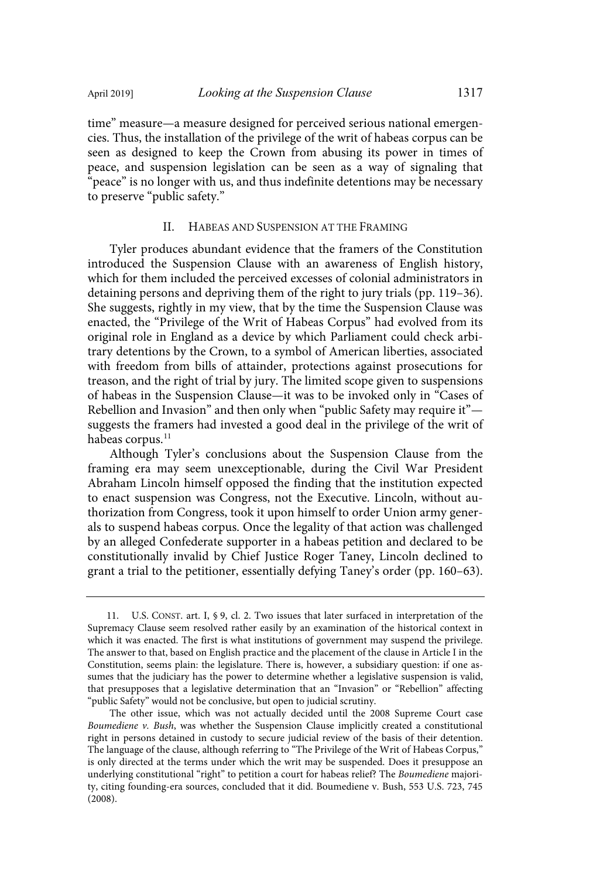time" measure—a measure designed for perceived serious national emergencies. Thus, the installation of the privilege of the writ of habeas corpus can be seen as designed to keep the Crown from abusing its power in times of peace, and suspension legislation can be seen as a way of signaling that "peace" is no longer with us, and thus indefinite detentions may be necessary to preserve "public safety."

### II. HABEAS AND SUSPENSION AT THE FRAMING

Tyler produces abundant evidence that the framers of the Constitution introduced the Suspension Clause with an awareness of English history, which for them included the perceived excesses of colonial administrators in detaining persons and depriving them of the right to jury trials (pp. 119–36). She suggests, rightly in my view, that by the time the Suspension Clause was enacted, the "Privilege of the Writ of Habeas Corpus" had evolved from its original role in England as a device by which Parliament could check arbitrary detentions by the Crown, to a symbol of American liberties, associated with freedom from bills of attainder, protections against prosecutions for treason, and the right of trial by jury. The limited scope given to suspensions of habeas in the Suspension Clause—it was to be invoked only in "Cases of Rebellion and Invasion" and then only when "public Safety may require it" suggests the framers had invested a good deal in the privilege of the writ of habeas corpus.<sup>11</sup>

Although Tyler's conclusions about the Suspension Clause from the framing era may seem unexceptionable, during the Civil War President Abraham Lincoln himself opposed the finding that the institution expected to enact suspension was Congress, not the Executive. Lincoln, without authorization from Congress, took it upon himself to order Union army generals to suspend habeas corpus. Once the legality of that action was challenged by an alleged Confederate supporter in a habeas petition and declared to be constitutionally invalid by Chief Justice Roger Taney, Lincoln declined to grant a trial to the petitioner, essentially defying Taney's order (pp. 160–63).

<sup>11.</sup> U.S. CONST. art. I, § 9, cl. 2. Two issues that later surfaced in interpretation of the Supremacy Clause seem resolved rather easily by an examination of the historical context in which it was enacted. The first is what institutions of government may suspend the privilege. The answer to that, based on English practice and the placement of the clause in Article I in the Constitution, seems plain: the legislature. There is, however, a subsidiary question: if one assumes that the judiciary has the power to determine whether a legislative suspension is valid, that presupposes that a legislative determination that an "Invasion" or "Rebellion" affecting "public Safety" would not be conclusive, but open to judicial scrutiny.

The other issue, which was not actually decided until the 2008 Supreme Court case Boumediene  $v$ . Bush, was whether the Suspension Clause implicitly created a constitutional right in persons detained in custody to secure judicial review of the basis of their detention. The language of the clause, although referring to "The Privilege of the Writ of Habeas Corpus," is only directed at the terms under which the writ may be suspended. Does it presuppose an underlying constitutional "right" to petition a court for habeas relief? The Boumediene majority, citing founding-era sources, concluded that it did. Boumediene v. Bush, 553 U.S. 723, 745 (2008).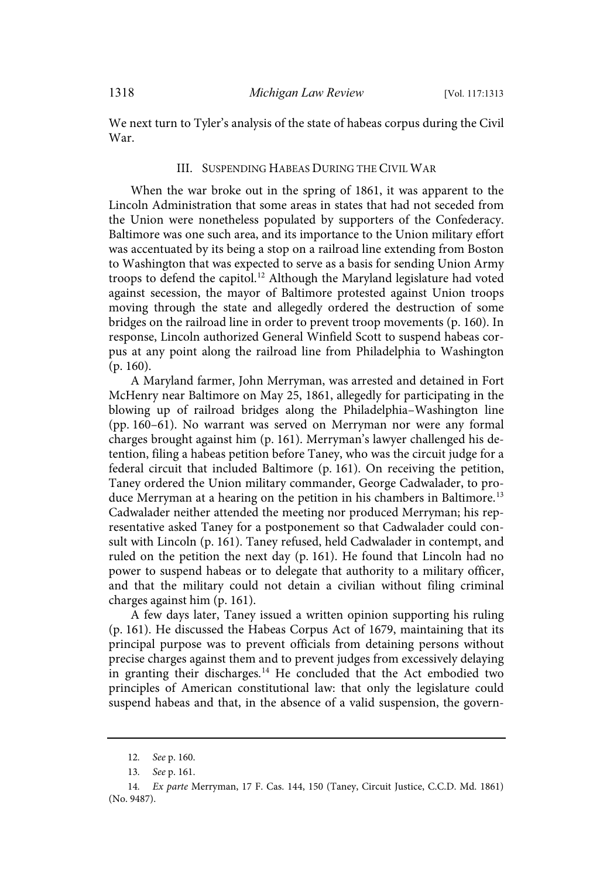We next turn to Tyler's analysis of the state of habeas corpus during the Civil War.

#### III. SUSPENDING HABEAS DURING THE CIVIL WAR

When the war broke out in the spring of 1861, it was apparent to the Lincoln Administration that some areas in states that had not seceded from the Union were nonetheless populated by supporters of the Confederacy. Baltimore was one such area, and its importance to the Union military effort was accentuated by its being a stop on a railroad line extending from Boston to Washington that was expected to serve as a basis for sending Union Army troops to defend the capitol.<sup>12</sup> Although the Maryland legislature had voted against secession, the mayor of Baltimore protested against Union troops moving through the state and allegedly ordered the destruction of some bridges on the railroad line in order to prevent troop movements (p. 160). In response, Lincoln authorized General Winfield Scott to suspend habeas corpus at any point along the railroad line from Philadelphia to Washington (p. 160).

A Maryland farmer, John Merryman, was arrested and detained in Fort McHenry near Baltimore on May 25, 1861, allegedly for participating in the blowing up of railroad bridges along the Philadelphia–Washington line (pp. 160–61). No warrant was served on Merryman nor were any formal charges brought against him (p. 161). Merryman's lawyer challenged his detention, filing a habeas petition before Taney, who was the circuit judge for a federal circuit that included Baltimore (p. 161). On receiving the petition, Taney ordered the Union military commander, George Cadwalader, to produce Merryman at a hearing on the petition in his chambers in Baltimore.<sup>13</sup> Cadwalader neither attended the meeting nor produced Merryman; his representative asked Taney for a postponement so that Cadwalader could consult with Lincoln (p. 161). Taney refused, held Cadwalader in contempt, and ruled on the petition the next day (p. 161). He found that Lincoln had no power to suspend habeas or to delegate that authority to a military officer, and that the military could not detain a civilian without filing criminal charges against him (p. 161).

A few days later, Taney issued a written opinion supporting his ruling (p. 161). He discussed the Habeas Corpus Act of 1679, maintaining that its principal purpose was to prevent officials from detaining persons without precise charges against them and to prevent judges from excessively delaying in granting their discharges.<sup>14</sup> He concluded that the Act embodied two principles of American constitutional law: that only the legislature could suspend habeas and that, in the absence of a valid suspension, the govern-

<sup>12.</sup> See p. 160.

<sup>13.</sup> See p. 161.

<sup>14</sup> . Ex parte Merryman, 17 F. Cas. 144, 150 (Taney, Circuit Justice, C.C.D. Md. 1861) (No. 9487).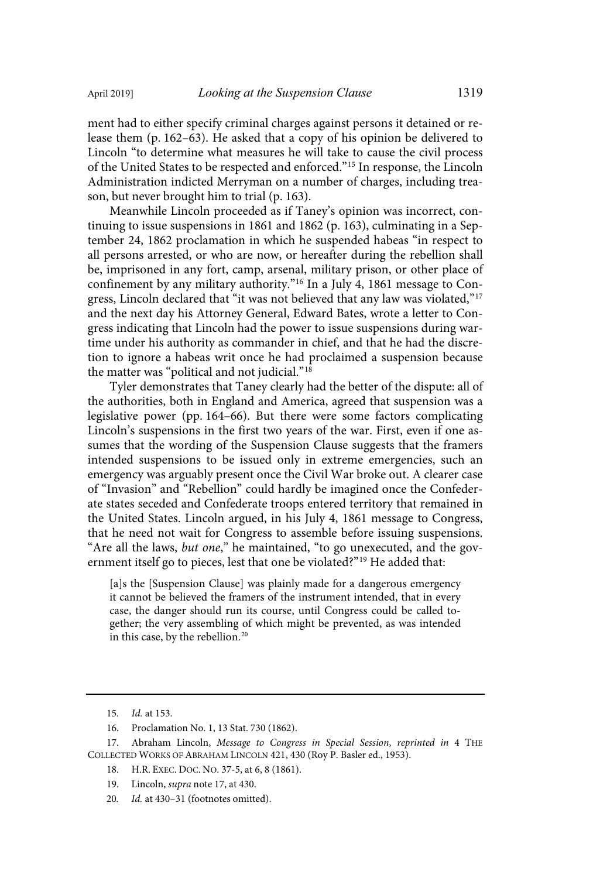ment had to either specify criminal charges against persons it detained or release them (p. 162–63). He asked that a copy of his opinion be delivered to Lincoln "to determine what measures he will take to cause the civil process of the United States to be respected and enforced."<sup>15</sup> In response, the Lincoln Administration indicted Merryman on a number of charges, including treason, but never brought him to trial (p. 163).

Meanwhile Lincoln proceeded as if Taney's opinion was incorrect, continuing to issue suspensions in 1861 and 1862 (p. 163), culminating in a September 24, 1862 proclamation in which he suspended habeas "in respect to all persons arrested, or who are now, or hereafter during the rebellion shall be, imprisoned in any fort, camp, arsenal, military prison, or other place of confinement by any military authority."<sup>16</sup> In a July 4, 1861 message to Congress, Lincoln declared that "it was not believed that any law was violated,"<sup>17</sup> and the next day his Attorney General, Edward Bates, wrote a letter to Congress indicating that Lincoln had the power to issue suspensions during wartime under his authority as commander in chief, and that he had the discretion to ignore a habeas writ once he had proclaimed a suspension because the matter was "political and not judicial."<sup>18</sup>

Tyler demonstrates that Taney clearly had the better of the dispute: all of the authorities, both in England and America, agreed that suspension was a legislative power (pp. 164–66). But there were some factors complicating Lincoln's suspensions in the first two years of the war. First, even if one assumes that the wording of the Suspension Clause suggests that the framers intended suspensions to be issued only in extreme emergencies, such an emergency was arguably present once the Civil War broke out. A clearer case of "Invasion" and "Rebellion" could hardly be imagined once the Confederate states seceded and Confederate troops entered territory that remained in the United States. Lincoln argued, in his July 4, 1861 message to Congress, that he need not wait for Congress to assemble before issuing suspensions. "Are all the laws, but one," he maintained, "to go unexecuted, and the government itself go to pieces, lest that one be violated?"<sup>19</sup> He added that:

[a]s the [Suspension Clause] was plainly made for a dangerous emergency it cannot be believed the framers of the instrument intended, that in every case, the danger should run its course, until Congress could be called together; the very assembling of which might be prevented, as was intended in this case, by the rebellion.<sup>20</sup>

- 18. H.R. EXEC. DOC. NO. 37-5, at 6, 8 (1861).
- 19. Lincoln, supra note 17, at 430.
- 20. Id. at 430-31 (footnotes omitted).

<sup>15.</sup> *Id.* at 153.

<sup>16.</sup> Proclamation No. 1, 13 Stat. 730 (1862).

<sup>17.</sup> Abraham Lincoln, Message to Congress in Special Session, reprinted in 4 THE COLLECTED WORKS OF ABRAHAM LINCOLN 421, 430 (Roy P. Basler ed., 1953).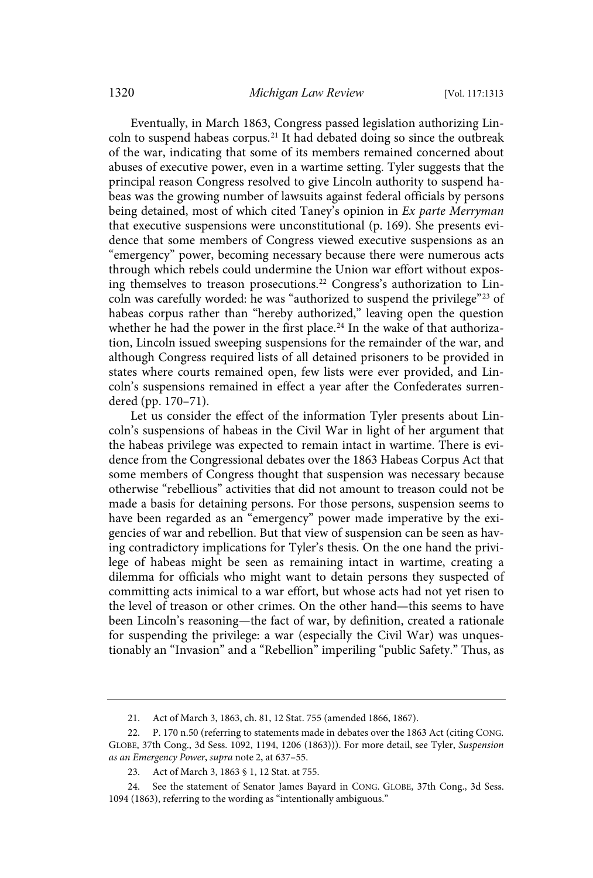Eventually, in March 1863, Congress passed legislation authorizing Lincoln to suspend habeas corpus.<sup>21</sup> It had debated doing so since the outbreak of the war, indicating that some of its members remained concerned about abuses of executive power, even in a wartime setting. Tyler suggests that the principal reason Congress resolved to give Lincoln authority to suspend habeas was the growing number of lawsuits against federal officials by persons being detained, most of which cited Taney's opinion in Ex parte Merryman that executive suspensions were unconstitutional (p. 169). She presents evidence that some members of Congress viewed executive suspensions as an "emergency" power, becoming necessary because there were numerous acts through which rebels could undermine the Union war effort without exposing themselves to treason prosecutions.<sup>22</sup> Congress's authorization to Lincoln was carefully worded: he was "authorized to suspend the privilege"<sup>23</sup> of habeas corpus rather than "hereby authorized," leaving open the question whether he had the power in the first place.<sup>24</sup> In the wake of that authorization, Lincoln issued sweeping suspensions for the remainder of the war, and although Congress required lists of all detained prisoners to be provided in states where courts remained open, few lists were ever provided, and Lincoln's suspensions remained in effect a year after the Confederates surrendered (pp. 170–71).

Let us consider the effect of the information Tyler presents about Lincoln's suspensions of habeas in the Civil War in light of her argument that the habeas privilege was expected to remain intact in wartime. There is evidence from the Congressional debates over the 1863 Habeas Corpus Act that some members of Congress thought that suspension was necessary because otherwise "rebellious" activities that did not amount to treason could not be made a basis for detaining persons. For those persons, suspension seems to have been regarded as an "emergency" power made imperative by the exigencies of war and rebellion. But that view of suspension can be seen as having contradictory implications for Tyler's thesis. On the one hand the privilege of habeas might be seen as remaining intact in wartime, creating a dilemma for officials who might want to detain persons they suspected of committing acts inimical to a war effort, but whose acts had not yet risen to the level of treason or other crimes. On the other hand—this seems to have been Lincoln's reasoning—the fact of war, by definition, created a rationale for suspending the privilege: a war (especially the Civil War) was unquestionably an "Invasion" and a "Rebellion" imperiling "public Safety." Thus, as

<sup>21.</sup> Act of March 3, 1863, ch. 81, 12 Stat. 755 (amended 1866, 1867).

<sup>22.</sup> P. 170 n.50 (referring to statements made in debates over the 1863 Act (citing CONG. GLOBE, 37th Cong., 3d Sess. 1092, 1194, 1206 (1863))). For more detail, see Tyler, Suspension as an Emergency Power, supra note 2, at 637–55.

<sup>23.</sup> Act of March 3, 1863 § 1, 12 Stat. at 755.

<sup>24.</sup> See the statement of Senator James Bayard in CONG. GLOBE, 37th Cong., 3d Sess. 1094 (1863), referring to the wording as "intentionally ambiguous."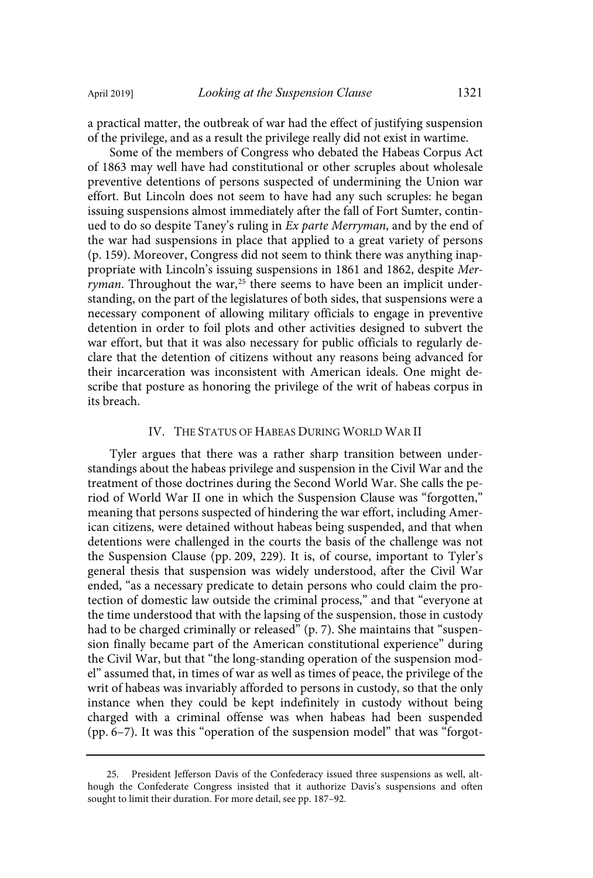a practical matter, the outbreak of war had the effect of justifying suspension of the privilege, and as a result the privilege really did not exist in wartime.

Some of the members of Congress who debated the Habeas Corpus Act of 1863 may well have had constitutional or other scruples about wholesale preventive detentions of persons suspected of undermining the Union war effort. But Lincoln does not seem to have had any such scruples: he began issuing suspensions almost immediately after the fall of Fort Sumter, continued to do so despite Taney's ruling in Ex parte Merryman, and by the end of the war had suspensions in place that applied to a great variety of persons (p. 159). Moreover, Congress did not seem to think there was anything inappropriate with Lincoln's issuing suspensions in 1861 and 1862, despite Merryman. Throughout the war,<sup>25</sup> there seems to have been an implicit understanding, on the part of the legislatures of both sides, that suspensions were a necessary component of allowing military officials to engage in preventive detention in order to foil plots and other activities designed to subvert the war effort, but that it was also necessary for public officials to regularly declare that the detention of citizens without any reasons being advanced for their incarceration was inconsistent with American ideals. One might describe that posture as honoring the privilege of the writ of habeas corpus in its breach.

#### IV. THE STATUS OF HABEAS DURING WORLD WAR II

Tyler argues that there was a rather sharp transition between understandings about the habeas privilege and suspension in the Civil War and the treatment of those doctrines during the Second World War. She calls the period of World War II one in which the Suspension Clause was "forgotten," meaning that persons suspected of hindering the war effort, including American citizens, were detained without habeas being suspended, and that when detentions were challenged in the courts the basis of the challenge was not the Suspension Clause (pp. 209, 229). It is, of course, important to Tyler's general thesis that suspension was widely understood, after the Civil War ended, "as a necessary predicate to detain persons who could claim the protection of domestic law outside the criminal process," and that "everyone at the time understood that with the lapsing of the suspension, those in custody had to be charged criminally or released" (p. 7). She maintains that "suspension finally became part of the American constitutional experience" during the Civil War, but that "the long-standing operation of the suspension model" assumed that, in times of war as well as times of peace, the privilege of the writ of habeas was invariably afforded to persons in custody, so that the only instance when they could be kept indefinitely in custody without being charged with a criminal offense was when habeas had been suspended (pp. 6–7). It was this "operation of the suspension model" that was "forgot-

<sup>25.</sup> President Jefferson Davis of the Confederacy issued three suspensions as well, although the Confederate Congress insisted that it authorize Davis's suspensions and often sought to limit their duration. For more detail, see pp. 187–92.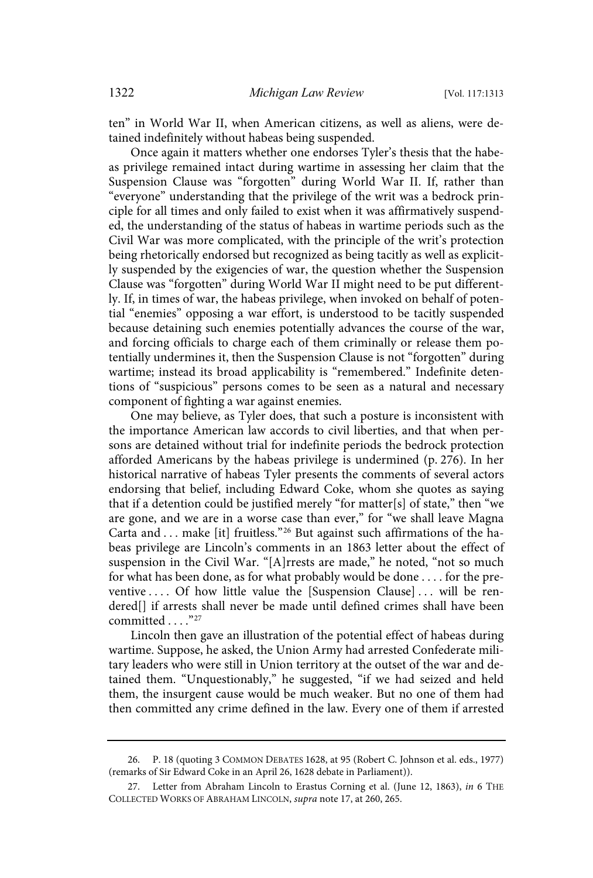ten" in World War II, when American citizens, as well as aliens, were detained indefinitely without habeas being suspended.

Once again it matters whether one endorses Tyler's thesis that the habeas privilege remained intact during wartime in assessing her claim that the Suspension Clause was "forgotten" during World War II. If, rather than "everyone" understanding that the privilege of the writ was a bedrock principle for all times and only failed to exist when it was affirmatively suspended, the understanding of the status of habeas in wartime periods such as the Civil War was more complicated, with the principle of the writ's protection being rhetorically endorsed but recognized as being tacitly as well as explicitly suspended by the exigencies of war, the question whether the Suspension Clause was "forgotten" during World War II might need to be put differently. If, in times of war, the habeas privilege, when invoked on behalf of potential "enemies" opposing a war effort, is understood to be tacitly suspended because detaining such enemies potentially advances the course of the war, and forcing officials to charge each of them criminally or release them potentially undermines it, then the Suspension Clause is not "forgotten" during wartime; instead its broad applicability is "remembered." Indefinite detentions of "suspicious" persons comes to be seen as a natural and necessary component of fighting a war against enemies.

One may believe, as Tyler does, that such a posture is inconsistent with the importance American law accords to civil liberties, and that when persons are detained without trial for indefinite periods the bedrock protection afforded Americans by the habeas privilege is undermined (p. 276). In her historical narrative of habeas Tyler presents the comments of several actors endorsing that belief, including Edward Coke, whom she quotes as saying that if a detention could be justified merely "for matter[s] of state," then "we are gone, and we are in a worse case than ever," for "we shall leave Magna Carta and  $\dots$  make [it] fruitless."<sup>26</sup> But against such affirmations of the habeas privilege are Lincoln's comments in an 1863 letter about the effect of suspension in the Civil War. "[A]rrests are made," he noted, "not so much for what has been done, as for what probably would be done . . . . for the preventive . . . . Of how little value the [Suspension Clause] . . . will be rendered[] if arrests shall never be made until defined crimes shall have been committed . . . . "27

Lincoln then gave an illustration of the potential effect of habeas during wartime. Suppose, he asked, the Union Army had arrested Confederate military leaders who were still in Union territory at the outset of the war and detained them. "Unquestionably," he suggested, "if we had seized and held them, the insurgent cause would be much weaker. But no one of them had then committed any crime defined in the law. Every one of them if arrested

<sup>26.</sup> P. 18 (quoting 3 COMMON DEBATES 1628, at 95 (Robert C. Johnson et al. eds., 1977) (remarks of Sir Edward Coke in an April 26, 1628 debate in Parliament)).

<sup>27.</sup> Letter from Abraham Lincoln to Erastus Corning et al. (June 12, 1863), in 6 THE COLLECTED WORKS OF ABRAHAM LINCOLN, supra note 17, at 260, 265.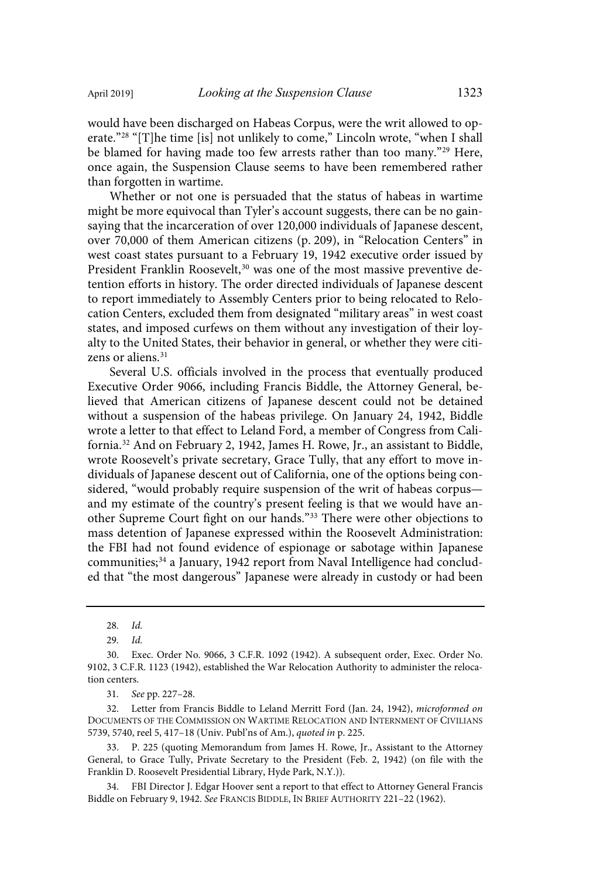would have been discharged on Habeas Corpus, were the writ allowed to operate."<sup>28</sup> "[T]he time [is] not unlikely to come," Lincoln wrote, "when I shall be blamed for having made too few arrests rather than too many."<sup>29</sup> Here, once again, the Suspension Clause seems to have been remembered rather than forgotten in wartime.

Whether or not one is persuaded that the status of habeas in wartime might be more equivocal than Tyler's account suggests, there can be no gainsaying that the incarceration of over 120,000 individuals of Japanese descent, over 70,000 of them American citizens (p. 209), in "Relocation Centers" in west coast states pursuant to a February 19, 1942 executive order issued by President Franklin Roosevelt,<sup>30</sup> was one of the most massive preventive detention efforts in history. The order directed individuals of Japanese descent to report immediately to Assembly Centers prior to being relocated to Relocation Centers, excluded them from designated "military areas" in west coast states, and imposed curfews on them without any investigation of their loyalty to the United States, their behavior in general, or whether they were citizens or aliens.<sup>31</sup>

Several U.S. officials involved in the process that eventually produced Executive Order 9066, including Francis Biddle, the Attorney General, believed that American citizens of Japanese descent could not be detained without a suspension of the habeas privilege. On January 24, 1942, Biddle wrote a letter to that effect to Leland Ford, a member of Congress from California.<sup>32</sup> And on February 2, 1942, James H. Rowe, Jr., an assistant to Biddle, wrote Roosevelt's private secretary, Grace Tully, that any effort to move individuals of Japanese descent out of California, one of the options being considered, "would probably require suspension of the writ of habeas corpus and my estimate of the country's present feeling is that we would have another Supreme Court fight on our hands."<sup>33</sup> There were other objections to mass detention of Japanese expressed within the Roosevelt Administration: the FBI had not found evidence of espionage or sabotage within Japanese communities;<sup>34</sup> a January, 1942 report from Naval Intelligence had concluded that "the most dangerous" Japanese were already in custody or had been

32. Letter from Francis Biddle to Leland Merritt Ford (Jan. 24, 1942), microformed on DOCUMENTS OF THE COMMISSION ON WARTIME RELOCATION AND INTERNMENT OF CIVILIANS 5739, 5740, reel 5, 417–18 (Univ. Publ'ns of Am.), quoted in p. 225.

33. P. 225 (quoting Memorandum from James H. Rowe, Jr., Assistant to the Attorney General, to Grace Tully, Private Secretary to the President (Feb. 2, 1942) (on file with the Franklin D. Roosevelt Presidential Library, Hyde Park, N.Y.)).

<sup>28.</sup> Id.

<sup>29.</sup> Id.

<sup>30.</sup> Exec. Order No. 9066, 3 C.F.R. 1092 (1942). A subsequent order, Exec. Order No. 9102, 3 C.F.R. 1123 (1942), established the War Relocation Authority to administer the relocation centers.

<sup>31.</sup> See pp. 227-28.

<sup>34.</sup> FBI Director J. Edgar Hoover sent a report to that effect to Attorney General Francis Biddle on February 9, 1942. See FRANCIS BIDDLE, IN BRIEF AUTHORITY 221–22 (1962).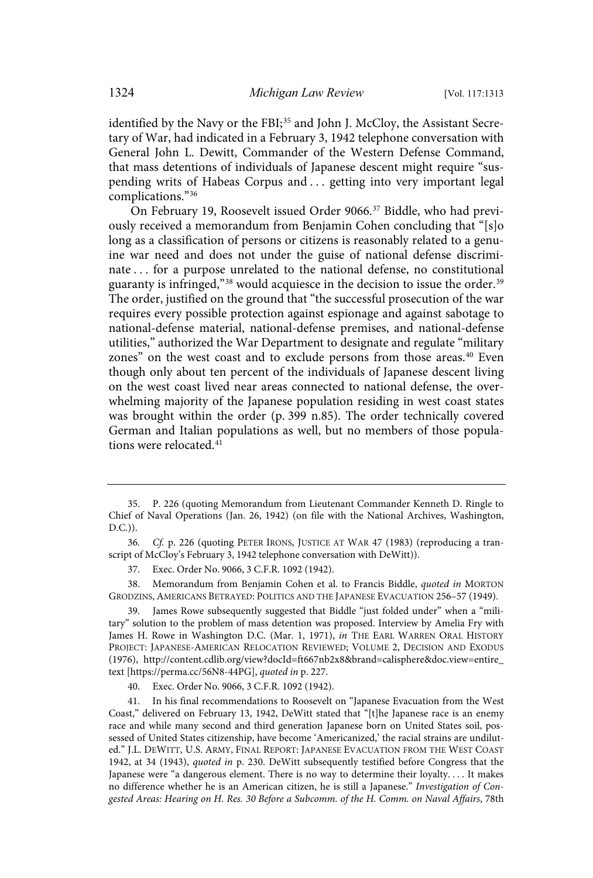identified by the Navy or the FBI;<sup>35</sup> and John J. McCloy, the Assistant Secretary of War, had indicated in a February 3, 1942 telephone conversation with General John L. Dewitt, Commander of the Western Defense Command, that mass detentions of individuals of Japanese descent might require "suspending writs of Habeas Corpus and . . . getting into very important legal complications."<sup>36</sup>

On February 19, Roosevelt issued Order 9066.<sup>37</sup> Biddle, who had previously received a memorandum from Benjamin Cohen concluding that "[s]o long as a classification of persons or citizens is reasonably related to a genuine war need and does not under the guise of national defense discriminate . . . for a purpose unrelated to the national defense, no constitutional guaranty is infringed,"<sup>38</sup> would acquiesce in the decision to issue the order.<sup>39</sup> The order, justified on the ground that "the successful prosecution of the war requires every possible protection against espionage and against sabotage to national-defense material, national-defense premises, and national-defense utilities," authorized the War Department to designate and regulate "military zones" on the west coast and to exclude persons from those areas.<sup>40</sup> Even though only about ten percent of the individuals of Japanese descent living on the west coast lived near areas connected to national defense, the overwhelming majority of the Japanese population residing in west coast states was brought within the order (p. 399 n.85). The order technically covered German and Italian populations as well, but no members of those populations were relocated.<sup>41</sup>

36. Cf. p. 226 (quoting PETER IRONS, JUSTICE AT WAR 47 (1983) (reproducing a transcript of McCloy's February 3, 1942 telephone conversation with DeWitt)).

37. Exec. Order No. 9066, 3 C.F.R. 1092 (1942).

38. Memorandum from Benjamin Cohen et al. to Francis Biddle, quoted in MORTON GRODZINS, AMERICANS BETRAYED: POLITICS AND THE JAPANESE EVACUATION 256–57 (1949).

39. James Rowe subsequently suggested that Biddle "just folded under" when a "military" solution to the problem of mass detention was proposed. Interview by Amelia Fry with James H. Rowe in Washington D.C. (Mar. 1, 1971), in THE EARL WARREN ORAL HISTORY PROJECT: JAPANESE-AMERICAN RELOCATION REVIEWED; VOLUME 2, DECISION AND EXODUS (1976), http://content.cdlib.org/view?docId=ft667nb2x8&brand=calisphere&doc.view=entire\_ text [https://perma.cc/56N8-44PG], quoted in p. 227.

40. Exec. Order No. 9066, 3 C.F.R. 1092 (1942).

41. In his final recommendations to Roosevelt on "Japanese Evacuation from the West Coast," delivered on February 13, 1942, DeWitt stated that "[t]he Japanese race is an enemy race and while many second and third generation Japanese born on United States soil, possessed of United States citizenship, have become 'Americanized,' the racial strains are undiluted." J.L. DEWITT, U.S. ARMY, FINAL REPORT: JAPANESE EVACUATION FROM THE WEST COAST 1942, at 34 (1943), quoted in p. 230. DeWitt subsequently testified before Congress that the Japanese were "a dangerous element. There is no way to determine their loyalty. . . . It makes no difference whether he is an American citizen, he is still a Japanese." Investigation of Congested Areas: Hearing on H. Res. 30 Before a Subcomm. of the H. Comm. on Naval Affairs, 78th

<sup>35.</sup> P. 226 (quoting Memorandum from Lieutenant Commander Kenneth D. Ringle to Chief of Naval Operations (Jan. 26, 1942) (on file with the National Archives, Washington, D.C.)).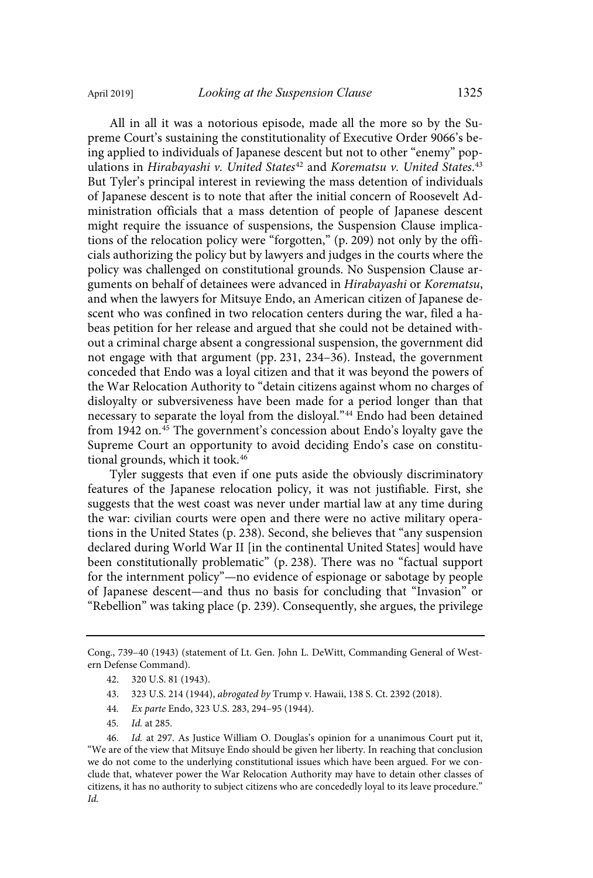All in all it was a notorious episode, made all the more so by the Supreme Court's sustaining the constitutionality of Executive Order 9066's being applied to individuals of Japanese descent but not to other "enemy" populations in *Hirabayashi v. United States<sup>42</sup> and Korematsu v. United States.<sup>43</sup>* But Tyler's principal interest in reviewing the mass detention of individuals of Japanese descent is to note that after the initial concern of Roosevelt Administration officials that a mass detention of people of Japanese descent might require the issuance of suspensions, the Suspension Clause implications of the relocation policy were "forgotten," (p. 209) not only by the officials authorizing the policy but by lawyers and judges in the courts where the policy was challenged on constitutional grounds. No Suspension Clause arguments on behalf of detainees were advanced in Hirabayashi or Korematsu, and when the lawyers for Mitsuye Endo, an American citizen of Japanese descent who was confined in two relocation centers during the war, filed a habeas petition for her release and argued that she could not be detained without a criminal charge absent a congressional suspension, the government did not engage with that argument (pp. 231, 234–36). Instead, the government conceded that Endo was a loyal citizen and that it was beyond the powers of the War Relocation Authority to "detain citizens against whom no charges of disloyalty or subversiveness have been made for a period longer than that necessary to separate the loyal from the disloyal."<sup>44</sup> Endo had been detained from 1942 on.<sup>45</sup> The government's concession about Endo's loyalty gave the Supreme Court an opportunity to avoid deciding Endo's case on constitutional grounds, which it took.<sup>46</sup>

Tyler suggests that even if one puts aside the obviously discriminatory features of the Japanese relocation policy, it was not justifiable. First, she suggests that the west coast was never under martial law at any time during the war: civilian courts were open and there were no active military operations in the United States (p. 238). Second, she believes that "any suspension declared during World War II [in the continental United States] would have been constitutionally problematic" (p. 238). There was no "factual support for the internment policy"—no evidence of espionage or sabotage by people of Japanese descent—and thus no basis for concluding that "Invasion" or "Rebellion" was taking place (p. 239). Consequently, she argues, the privilege

Cong., 739–40 (1943) (statement of Lt. Gen. John L. DeWitt, Commanding General of Western Defense Command).

- 44 . Ex parte Endo, 323 U.S. 283, 294–95 (1944).
- 45. *Id.* at 285.

46. Id. at 297. As Justice William O. Douglas's opinion for a unanimous Court put it, "We are of the view that Mitsuye Endo should be given her liberty. In reaching that conclusion we do not come to the underlying constitutional issues which have been argued. For we conclude that, whatever power the War Relocation Authority may have to detain other classes of citizens, it has no authority to subject citizens who are concededly loyal to its leave procedure." Id.

<sup>42. 320</sup> U.S. 81 (1943).

<sup>43. 323</sup> U.S. 214 (1944), abrogated by Trump v. Hawaii, 138 S. Ct. 2392 (2018).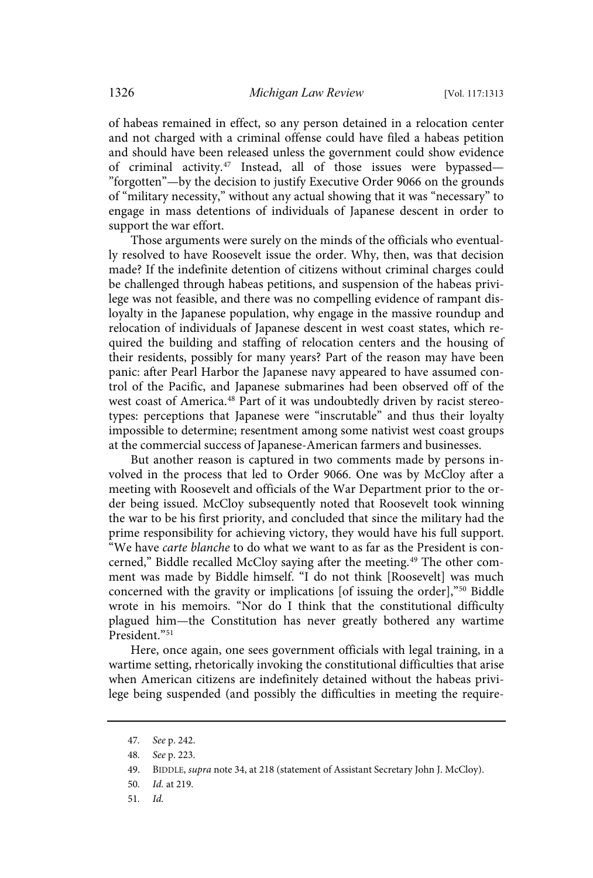of habeas remained in effect, so any person detained in a relocation center and not charged with a criminal offense could have filed a habeas petition and should have been released unless the government could show evidence of criminal activity.<sup>47</sup> Instead, all of those issues were bypassed— "forgotten"—by the decision to justify Executive Order 9066 on the grounds of "military necessity," without any actual showing that it was "necessary" to engage in mass detentions of individuals of Japanese descent in order to support the war effort.

Those arguments were surely on the minds of the officials who eventually resolved to have Roosevelt issue the order. Why, then, was that decision made? If the indefinite detention of citizens without criminal charges could be challenged through habeas petitions, and suspension of the habeas privilege was not feasible, and there was no compelling evidence of rampant disloyalty in the Japanese population, why engage in the massive roundup and relocation of individuals of Japanese descent in west coast states, which required the building and staffing of relocation centers and the housing of their residents, possibly for many years? Part of the reason may have been panic: after Pearl Harbor the Japanese navy appeared to have assumed control of the Pacific, and Japanese submarines had been observed off of the west coast of America.<sup>48</sup> Part of it was undoubtedly driven by racist stereotypes: perceptions that Japanese were "inscrutable" and thus their loyalty impossible to determine; resentment among some nativist west coast groups at the commercial success of Japanese-American farmers and businesses.

But another reason is captured in two comments made by persons involved in the process that led to Order 9066. One was by McCloy after a meeting with Roosevelt and officials of the War Department prior to the order being issued. McCloy subsequently noted that Roosevelt took winning the war to be his first priority, and concluded that since the military had the prime responsibility for achieving victory, they would have his full support. "We have carte blanche to do what we want to as far as the President is concerned," Biddle recalled McCloy saying after the meeting.<sup>49</sup> The other comment was made by Biddle himself. "I do not think [Roosevelt] was much concerned with the gravity or implications [of issuing the order],"<sup>50</sup> Biddle wrote in his memoirs. "Nor do I think that the constitutional difficulty plagued him—the Constitution has never greatly bothered any wartime President."<sup>51</sup>

Here, once again, one sees government officials with legal training, in a wartime setting, rhetorically invoking the constitutional difficulties that arise when American citizens are indefinitely detained without the habeas privilege being suspended (and possibly the difficulties in meeting the require-

51. Id.

<sup>47.</sup> See p. 242.

<sup>48.</sup> See p. 223.

<sup>49.</sup> BIDDLE, supra note 34, at 218 (statement of Assistant Secretary John J. McCloy).

<sup>50.</sup> *Id.* at 219.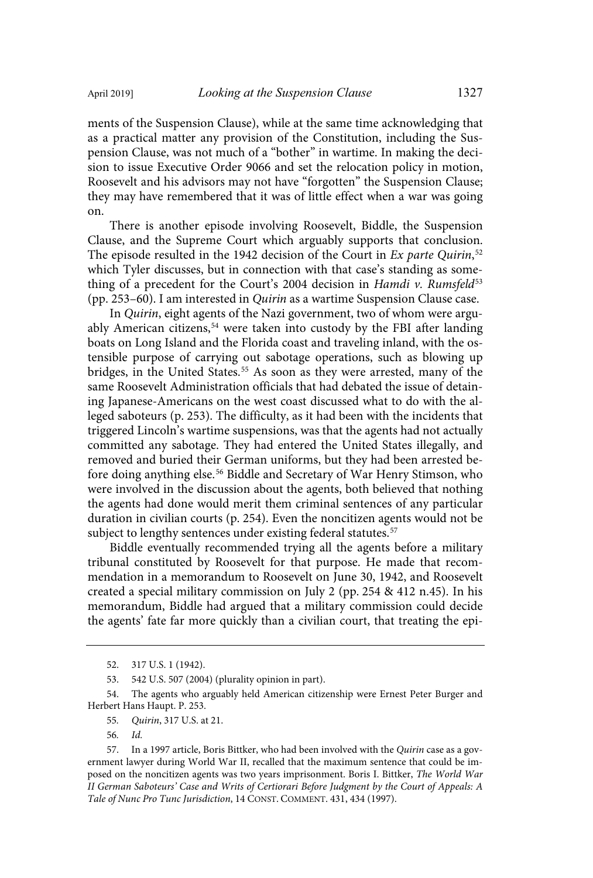ments of the Suspension Clause), while at the same time acknowledging that as a practical matter any provision of the Constitution, including the Suspension Clause, was not much of a "bother" in wartime. In making the decision to issue Executive Order 9066 and set the relocation policy in motion, Roosevelt and his advisors may not have "forgotten" the Suspension Clause; they may have remembered that it was of little effect when a war was going on.

There is another episode involving Roosevelt, Biddle, the Suspension Clause, and the Supreme Court which arguably supports that conclusion. The episode resulted in the 1942 decision of the Court in Ex parte Quirin,<sup>52</sup> which Tyler discusses, but in connection with that case's standing as something of a precedent for the Court's 2004 decision in Hamdi v. Rumsfeld $53$ (pp. 253–60). I am interested in Quirin as a wartime Suspension Clause case.

In Quirin, eight agents of the Nazi government, two of whom were arguably American citizens,<sup>54</sup> were taken into custody by the FBI after landing boats on Long Island and the Florida coast and traveling inland, with the ostensible purpose of carrying out sabotage operations, such as blowing up bridges, in the United States.<sup>55</sup> As soon as they were arrested, many of the same Roosevelt Administration officials that had debated the issue of detaining Japanese-Americans on the west coast discussed what to do with the alleged saboteurs (p. 253). The difficulty, as it had been with the incidents that triggered Lincoln's wartime suspensions, was that the agents had not actually committed any sabotage. They had entered the United States illegally, and removed and buried their German uniforms, but they had been arrested before doing anything else.<sup>56</sup> Biddle and Secretary of War Henry Stimson, who were involved in the discussion about the agents, both believed that nothing the agents had done would merit them criminal sentences of any particular duration in civilian courts (p. 254). Even the noncitizen agents would not be subject to lengthy sentences under existing federal statutes.<sup>57</sup>

Biddle eventually recommended trying all the agents before a military tribunal constituted by Roosevelt for that purpose. He made that recommendation in a memorandum to Roosevelt on June 30, 1942, and Roosevelt created a special military commission on July 2 (pp. 254 & 412 n.45). In his memorandum, Biddle had argued that a military commission could decide the agents' fate far more quickly than a civilian court, that treating the epi-

- 55 . Quirin, 317 U.S. at 21.
- 56. Id.

<sup>52. 317</sup> U.S. 1 (1942).

<sup>53. 542</sup> U.S. 507 (2004) (plurality opinion in part).

<sup>54.</sup> The agents who arguably held American citizenship were Ernest Peter Burger and Herbert Hans Haupt. P. 253.

<sup>57.</sup> In a 1997 article, Boris Bittker, who had been involved with the Quirin case as a government lawyer during World War II, recalled that the maximum sentence that could be imposed on the noncitizen agents was two years imprisonment. Boris I. Bittker, The World War II German Saboteurs' Case and Writs of Certiorari Before Judgment by the Court of Appeals: A Tale of Nunc Pro Tunc Jurisdiction, 14 CONST. COMMENT. 431, 434 (1997).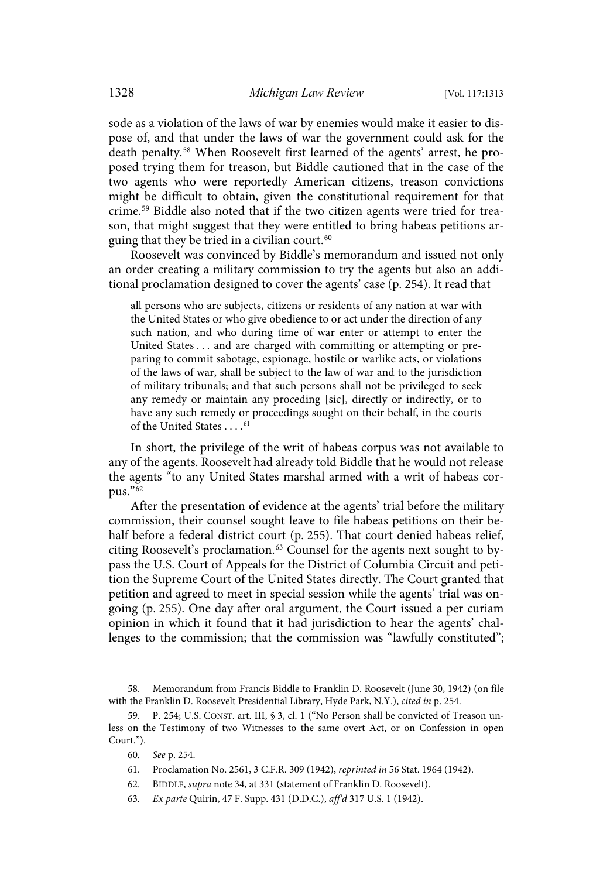sode as a violation of the laws of war by enemies would make it easier to dispose of, and that under the laws of war the government could ask for the death penalty.<sup>58</sup> When Roosevelt first learned of the agents' arrest, he proposed trying them for treason, but Biddle cautioned that in the case of the two agents who were reportedly American citizens, treason convictions might be difficult to obtain, given the constitutional requirement for that crime.<sup>59</sup> Biddle also noted that if the two citizen agents were tried for treason, that might suggest that they were entitled to bring habeas petitions arguing that they be tried in a civilian court.<sup>60</sup>

Roosevelt was convinced by Biddle's memorandum and issued not only an order creating a military commission to try the agents but also an additional proclamation designed to cover the agents' case (p. 254). It read that

all persons who are subjects, citizens or residents of any nation at war with the United States or who give obedience to or act under the direction of any such nation, and who during time of war enter or attempt to enter the United States . . . and are charged with committing or attempting or preparing to commit sabotage, espionage, hostile or warlike acts, or violations of the laws of war, shall be subject to the law of war and to the jurisdiction of military tribunals; and that such persons shall not be privileged to seek any remedy or maintain any proceding [sic], directly or indirectly, or to have any such remedy or proceedings sought on their behalf, in the courts of the United States . . . . 61

In short, the privilege of the writ of habeas corpus was not available to any of the agents. Roosevelt had already told Biddle that he would not release the agents "to any United States marshal armed with a writ of habeas corpus."<sup>62</sup>

After the presentation of evidence at the agents' trial before the military commission, their counsel sought leave to file habeas petitions on their behalf before a federal district court (p. 255). That court denied habeas relief, citing Roosevelt's proclamation.<sup>63</sup> Counsel for the agents next sought to bypass the U.S. Court of Appeals for the District of Columbia Circuit and petition the Supreme Court of the United States directly. The Court granted that petition and agreed to meet in special session while the agents' trial was ongoing (p. 255). One day after oral argument, the Court issued a per curiam opinion in which it found that it had jurisdiction to hear the agents' challenges to the commission; that the commission was "lawfully constituted";

<sup>58.</sup> Memorandum from Francis Biddle to Franklin D. Roosevelt (June 30, 1942) (on file with the Franklin D. Roosevelt Presidential Library, Hyde Park, N.Y.), cited in p. 254.

<sup>59.</sup> P. 254; U.S. CONST. art. III, § 3, cl. 1 ("No Person shall be convicted of Treason unless on the Testimony of two Witnesses to the same overt Act, or on Confession in open Court.").

<sup>60.</sup> See p. 254.

<sup>61.</sup> Proclamation No. 2561, 3 C.F.R. 309 (1942), reprinted in 56 Stat. 1964 (1942).

<sup>62.</sup> BIDDLE, supra note 34, at 331 (statement of Franklin D. Roosevelt).

<sup>63</sup> . Ex parte Quirin, 47 F. Supp. 431 (D.D.C.), aff'd 317 U.S. 1 (1942).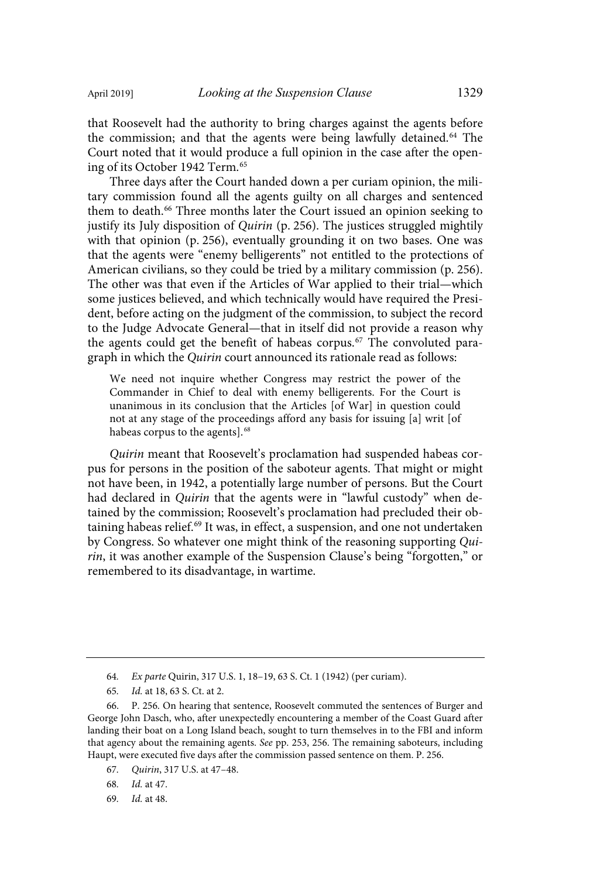that Roosevelt had the authority to bring charges against the agents before the commission; and that the agents were being lawfully detained.<sup>64</sup> The Court noted that it would produce a full opinion in the case after the opening of its October 1942 Term.<sup>65</sup>

Three days after the Court handed down a per curiam opinion, the military commission found all the agents guilty on all charges and sentenced them to death.<sup>66</sup> Three months later the Court issued an opinion seeking to justify its July disposition of Quirin (p. 256). The justices struggled mightily with that opinion (p. 256), eventually grounding it on two bases. One was that the agents were "enemy belligerents" not entitled to the protections of American civilians, so they could be tried by a military commission (p. 256). The other was that even if the Articles of War applied to their trial—which some justices believed, and which technically would have required the President, before acting on the judgment of the commission, to subject the record to the Judge Advocate General—that in itself did not provide a reason why the agents could get the benefit of habeas corpus.<sup>67</sup> The convoluted paragraph in which the Quirin court announced its rationale read as follows:

We need not inquire whether Congress may restrict the power of the Commander in Chief to deal with enemy belligerents. For the Court is unanimous in its conclusion that the Articles [of War] in question could not at any stage of the proceedings afford any basis for issuing [a] writ [of habeas corpus to the agents].<sup>68</sup>

Quirin meant that Roosevelt's proclamation had suspended habeas corpus for persons in the position of the saboteur agents. That might or might not have been, in 1942, a potentially large number of persons. But the Court had declared in Quirin that the agents were in "lawful custody" when detained by the commission; Roosevelt's proclamation had precluded their obtaining habeas relief.<sup>69</sup> It was, in effect, a suspension, and one not undertaken by Congress. So whatever one might think of the reasoning supporting Quirin, it was another example of the Suspension Clause's being "forgotten," or remembered to its disadvantage, in wartime.

- 67. Quirin, 317 U.S. at 47-48.
- 68. *Id.* at 47.
- 69. *Id.* at 48.

<sup>64</sup> . Ex parte Quirin, 317 U.S. 1, 18–19, 63 S. Ct. 1 (1942) (per curiam).

<sup>65.</sup> *Id.* at 18, 63 S. Ct. at 2.

<sup>66.</sup> P. 256. On hearing that sentence, Roosevelt commuted the sentences of Burger and George John Dasch, who, after unexpectedly encountering a member of the Coast Guard after landing their boat on a Long Island beach, sought to turn themselves in to the FBI and inform that agency about the remaining agents. See pp. 253, 256. The remaining saboteurs, including Haupt, were executed five days after the commission passed sentence on them. P. 256.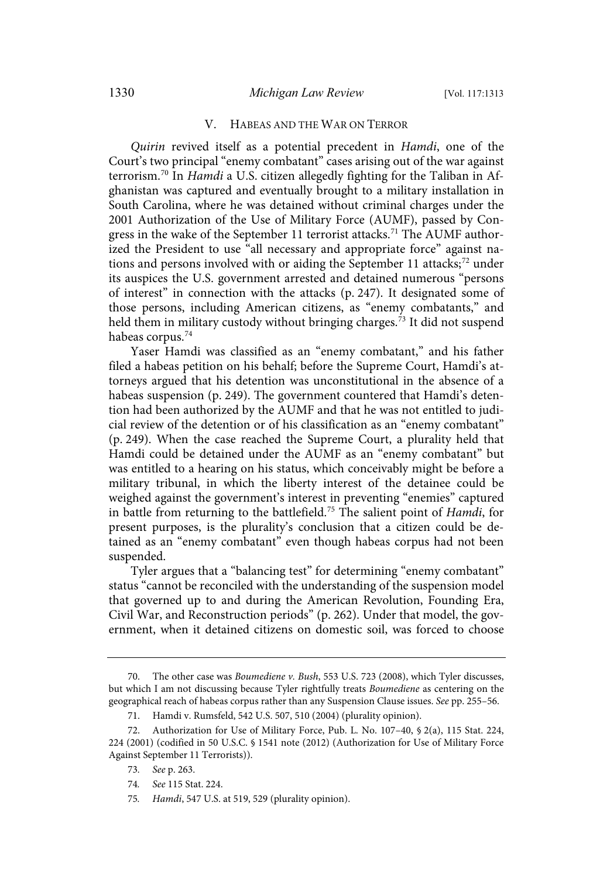#### V. HABEAS AND THE WAR ON TERROR

Quirin revived itself as a potential precedent in Hamdi, one of the Court's two principal "enemy combatant" cases arising out of the war against terrorism.<sup>70</sup> In Hamdi a U.S. citizen allegedly fighting for the Taliban in Afghanistan was captured and eventually brought to a military installation in South Carolina, where he was detained without criminal charges under the 2001 Authorization of the Use of Military Force (AUMF), passed by Congress in the wake of the September 11 terrorist attacks.<sup>71</sup> The AUMF authorized the President to use "all necessary and appropriate force" against nations and persons involved with or aiding the September 11 attacks;<sup>72</sup> under its auspices the U.S. government arrested and detained numerous "persons of interest" in connection with the attacks (p. 247). It designated some of those persons, including American citizens, as "enemy combatants," and held them in military custody without bringing charges.<sup>73</sup> It did not suspend habeas corpus.<sup>74</sup>

Yaser Hamdi was classified as an "enemy combatant," and his father filed a habeas petition on his behalf; before the Supreme Court, Hamdi's attorneys argued that his detention was unconstitutional in the absence of a habeas suspension (p. 249). The government countered that Hamdi's detention had been authorized by the AUMF and that he was not entitled to judicial review of the detention or of his classification as an "enemy combatant" (p. 249). When the case reached the Supreme Court, a plurality held that Hamdi could be detained under the AUMF as an "enemy combatant" but was entitled to a hearing on his status, which conceivably might be before a military tribunal, in which the liberty interest of the detainee could be weighed against the government's interest in preventing "enemies" captured in battle from returning to the battlefield.<sup>75</sup> The salient point of Hamdi, for present purposes, is the plurality's conclusion that a citizen could be detained as an "enemy combatant" even though habeas corpus had not been suspended.

Tyler argues that a "balancing test" for determining "enemy combatant" status "cannot be reconciled with the understanding of the suspension model that governed up to and during the American Revolution, Founding Era, Civil War, and Reconstruction periods" (p. 262). Under that model, the government, when it detained citizens on domestic soil, was forced to choose

<sup>70.</sup> The other case was Boumediene v. Bush, 553 U.S. 723 (2008), which Tyler discusses, but which I am not discussing because Tyler rightfully treats Boumediene as centering on the geographical reach of habeas corpus rather than any Suspension Clause issues. See pp. 255–56.

<sup>71.</sup> Hamdi v. Rumsfeld, 542 U.S. 507, 510 (2004) (plurality opinion).

<sup>72.</sup> Authorization for Use of Military Force, Pub. L. No. 107–40, § 2(a), 115 Stat. 224, 224 (2001) (codified in 50 U.S.C. § 1541 note (2012) (Authorization for Use of Military Force Against September 11 Terrorists)).

<sup>73</sup> . See p. 263.

<sup>74.</sup> See 115 Stat. 224.

<sup>75.</sup> Hamdi, 547 U.S. at 519, 529 (plurality opinion).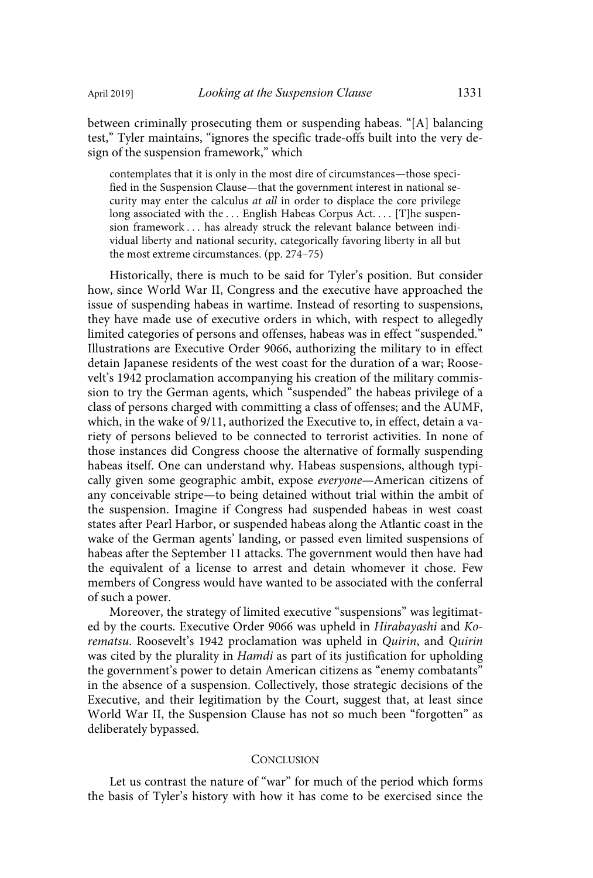between criminally prosecuting them or suspending habeas. "[A] balancing test," Tyler maintains, "ignores the specific trade-offs built into the very design of the suspension framework," which

contemplates that it is only in the most dire of circumstances—those specified in the Suspension Clause—that the government interest in national security may enter the calculus at all in order to displace the core privilege long associated with the ... English Habeas Corpus Act.... [T]he suspension framework . . . has already struck the relevant balance between individual liberty and national security, categorically favoring liberty in all but the most extreme circumstances. (pp. 274–75)

Historically, there is much to be said for Tyler's position. But consider how, since World War II, Congress and the executive have approached the issue of suspending habeas in wartime. Instead of resorting to suspensions, they have made use of executive orders in which, with respect to allegedly limited categories of persons and offenses, habeas was in effect "suspended." Illustrations are Executive Order 9066, authorizing the military to in effect detain Japanese residents of the west coast for the duration of a war; Roosevelt's 1942 proclamation accompanying his creation of the military commission to try the German agents, which "suspended" the habeas privilege of a class of persons charged with committing a class of offenses; and the AUMF, which, in the wake of 9/11, authorized the Executive to, in effect, detain a variety of persons believed to be connected to terrorist activities. In none of those instances did Congress choose the alternative of formally suspending habeas itself. One can understand why. Habeas suspensions, although typically given some geographic ambit, expose everyone—American citizens of any conceivable stripe—to being detained without trial within the ambit of the suspension. Imagine if Congress had suspended habeas in west coast states after Pearl Harbor, or suspended habeas along the Atlantic coast in the wake of the German agents' landing, or passed even limited suspensions of habeas after the September 11 attacks. The government would then have had the equivalent of a license to arrest and detain whomever it chose. Few members of Congress would have wanted to be associated with the conferral of such a power.

Moreover, the strategy of limited executive "suspensions" was legitimated by the courts. Executive Order 9066 was upheld in Hirabayashi and Korematsu. Roosevelt's 1942 proclamation was upheld in Quirin, and Quirin was cited by the plurality in *Hamdi* as part of its justification for upholding the government's power to detain American citizens as "enemy combatants" in the absence of a suspension. Collectively, those strategic decisions of the Executive, and their legitimation by the Court, suggest that, at least since World War II, the Suspension Clause has not so much been "forgotten" as deliberately bypassed.

#### **CONCLUSION**

Let us contrast the nature of "war" for much of the period which forms the basis of Tyler's history with how it has come to be exercised since the